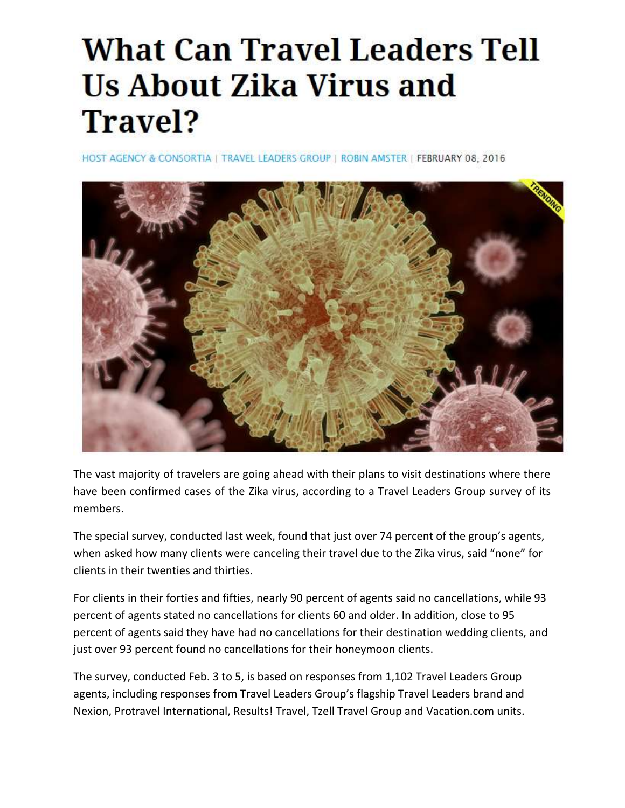# **What Can Travel Leaders Tell Us About Zika Virus and** Travel?

HOST AGENCY & CONSORTIA | TRAVEL LEADERS GROUP | ROBIN AMSTER | FEBRUARY 08, 2016



The vast majority of travelers are going ahead with their plans to visit destinations where there have been confirmed cases of the Zika virus, according to a Travel Leaders Group survey of its members.

The special survey, conducted last week, found that just over 74 percent of the group's agents, when asked how many clients were canceling their travel due to the Zika virus, said "none" for clients in their twenties and thirties.

For clients in their forties and fifties, nearly 90 percent of agents said no cancellations, while 93 percent of agents stated no cancellations for clients 60 and older. In addition, close to 95 percent of agents said they have had no cancellations for their destination wedding clients, and just over 93 percent found no cancellations for their honeymoon clients.

The survey, conducted Feb. 3 to 5, is based on responses from 1,102 Travel Leaders Group agents, including responses from Travel Leaders Group's flagship Travel Leaders brand and Nexion, Protravel International, Results! Travel, Tzell Travel Group and Vacation.com units.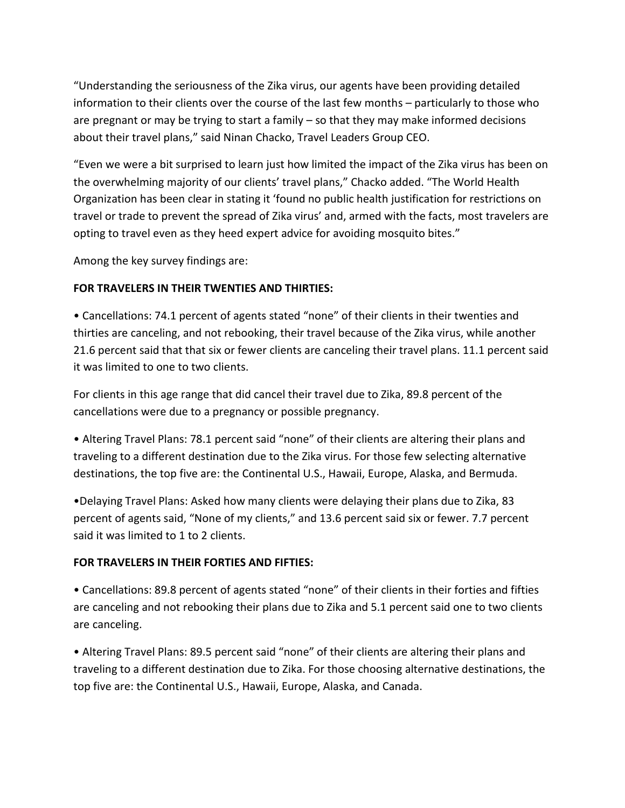"Understanding the seriousness of the Zika virus, our agents have been providing detailed information to their clients over the course of the last few months – particularly to those who are pregnant or may be trying to start a family – so that they may make informed decisions about their travel plans," said Ninan Chacko, Travel Leaders Group CEO.

"Even we were a bit surprised to learn just how limited the impact of the Zika virus has been on the overwhelming majority of our clients' travel plans," Chacko added. "The World Health Organization has been clear in stating it 'found no public health justification for restrictions on travel or trade to prevent the spread of Zika virus' and, armed with the facts, most travelers are opting to travel even as they heed expert advice for avoiding mosquito bites."

Among the key survey findings are:

## **FOR TRAVELERS IN THEIR TWENTIES AND THIRTIES:**

• Cancellations: 74.1 percent of agents stated "none" of their clients in their twenties and thirties are canceling, and not rebooking, their travel because of the Zika virus, while another 21.6 percent said that that six or fewer clients are canceling their travel plans. 11.1 percent said it was limited to one to two clients.

For clients in this age range that did cancel their travel due to Zika, 89.8 percent of the cancellations were due to a pregnancy or possible pregnancy.

• Altering Travel Plans: 78.1 percent said "none" of their clients are altering their plans and traveling to a different destination due to the Zika virus. For those few selecting alternative destinations, the top five are: the Continental U.S., Hawaii, Europe, Alaska, and Bermuda.

•Delaying Travel Plans: Asked how many clients were delaying their plans due to Zika, 83 percent of agents said, "None of my clients," and 13.6 percent said six or fewer. 7.7 percent said it was limited to 1 to 2 clients.

#### **FOR TRAVELERS IN THEIR FORTIES AND FIFTIES:**

• Cancellations: 89.8 percent of agents stated "none" of their clients in their forties and fifties are canceling and not rebooking their plans due to Zika and 5.1 percent said one to two clients are canceling.

• Altering Travel Plans: 89.5 percent said "none" of their clients are altering their plans and traveling to a different destination due to Zika. For those choosing alternative destinations, the top five are: the Continental U.S., Hawaii, Europe, Alaska, and Canada.